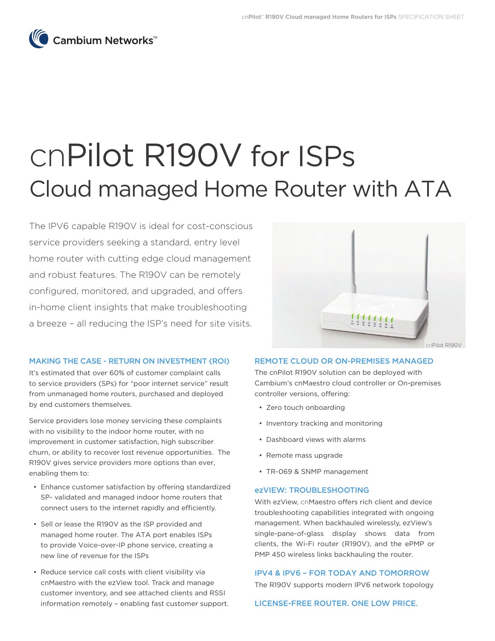

# cnPilot R190V for ISPs Cloud managed Home Router with ATA

The IPV6 capable R190V is ideal for cost-conscious service providers seeking a standard, entry level home router with cutting edge cloud management and robust features. The R190V can be remotely configured, monitored, and upgraded, and offers in-home client insights that make troubleshooting a breeze – all reducing the ISP's need for site visits.



## MAKING THE CASE - RETURN ON INVESTMENT (ROI)

It's estimated that over 60% of customer complaint calls to service providers (SPs) for "poor internet service" result from unmanaged home routers, purchased and deployed by end customers themselves.

Service providers lose money servicing these complaints with no visibility to the indoor home router, with no improvement in customer satisfaction, high subscriber churn, or ability to recover lost revenue opportunities. The R190V gives service providers more options than ever, enabling them to:

- Enhance customer satisfaction by offering standardized SP- validated and managed indoor home routers that connect users to the internet rapidly and efficiently.
- Sell or lease the R190V as the ISP provided and managed home router. The ATA port enables ISPs to provide Voice-over-IP phone service, creating a new line of revenue for the ISPs
- Reduce service call costs with client visibility via cnMaestro with the ezView tool. Track and manage customer inventory, and see attached clients and RSSI information remotely – enabling fast customer support.

## REMOTE CLOUD OR ON-PREMISES MANAGED

The cnPilot R190V solution can be deployed with Cambium's cnMaestro cloud controller or On-premises controller versions, offering:

- Zero touch onboarding
- Inventory tracking and monitoring
- Dashboard views with alarms
- Remote mass upgrade
- TR-069 & SNMP management

#### ezVIEW: TROUBLESHOOTING

With ezView, cnMaestro offers rich client and device troubleshooting capabilities integrated with ongoing management. When backhauled wirelessly, ezView's single-pane-of-glass display shows data from clients, the Wi-Fi router (R190V), and the ePMP or PMP 450 wireless links backhauling the router.

# IPV4 & IPV6 – FOR TODAY AND TOMORROW

The R190V supports modern IPV6 network topology

LICENSE-FREE ROUTER. ONE LOW PRICE.